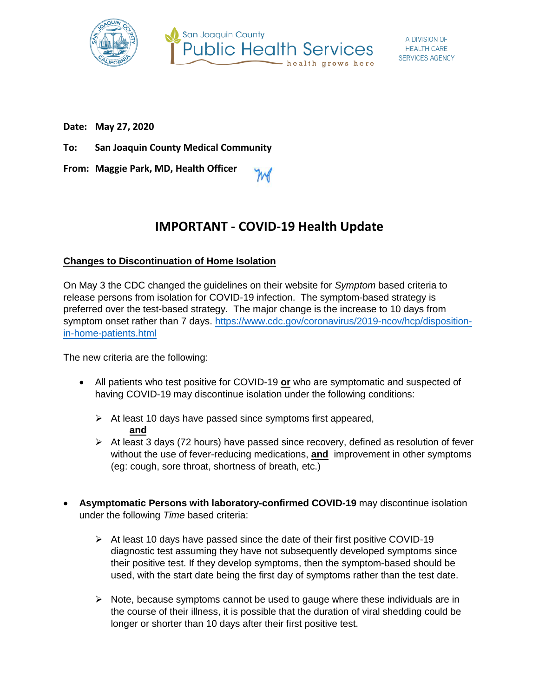



**Date: May 27, 2020**

**To: San Joaquin County Medical Community**

**From: Maggie Park, MD, Health Officer**

# **IMPORTANT - COVID-19 Health Update**

#### **Changes to Discontinuation of Home Isolation**

On May 3 the CDC changed the guidelines on their website for *Symptom* based criteria to release persons from isolation for COVID-19 infection. The symptom-based strategy is preferred over the test-based strategy. The major change is the increase to 10 days from symptom onset rather than 7 days. [https://www.cdc.gov/coronavirus/2019-ncov/hcp/disposition](https://www.cdc.gov/coronavirus/2019-ncov/hcp/disposition-in-home-patients.html)[in-home-patients.html](https://www.cdc.gov/coronavirus/2019-ncov/hcp/disposition-in-home-patients.html)

The new criteria are the following:

- All patients who test positive for COVID-19 **or** who are symptomatic and suspected of having COVID-19 may discontinue isolation under the following conditions:
	- $\triangleright$  At least 10 days have passed since symptoms first appeared, **and**
	- $\triangleright$  At least 3 days (72 hours) have passed since recovery, defined as resolution of fever without the use of fever-reducing medications, **and** improvement in other symptoms (eg: cough, sore throat, shortness of breath, etc.)
- **Asymptomatic Persons with laboratory-confirmed COVID-19** may discontinue isolation under the following *Time* based criteria:
	- $\triangleright$  At least 10 days have passed since the date of their first positive COVID-19 diagnostic test assuming they have not subsequently developed symptoms since their positive test. If they develop symptoms, then the symptom-based should be used, with the start date being the first day of symptoms rather than the test date.
	- $\triangleright$  Note, because symptoms cannot be used to gauge where these individuals are in the course of their illness, it is possible that the duration of viral shedding could be longer or shorter than 10 days after their first positive test.